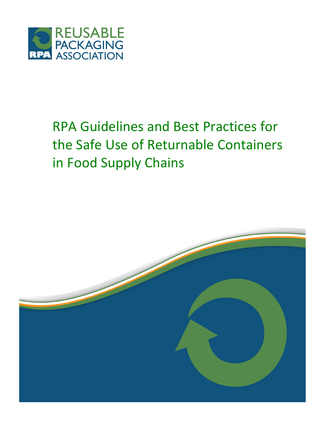

# RPA Guidelines and Best Practices for the Safe Use of Returnable Containers in Food Supply Chains

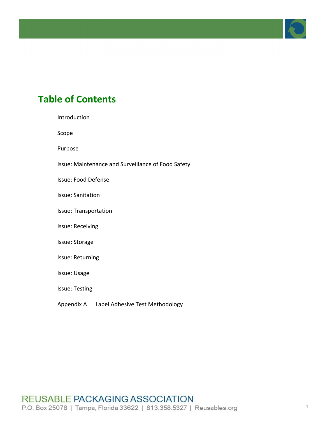

# **Table of Contents**

Introduction

Scope

Purpose

Issue: Maintenance and Surveillance of Food Safety

Issue: Food Defense

Issue: Sanitation

Issue: Transportation

Issue: Receiving

#### Issue: Storage

Issue: Returning

Issue: Usage

Issue: Testing

Appendix A Label Adhesive Test Methodology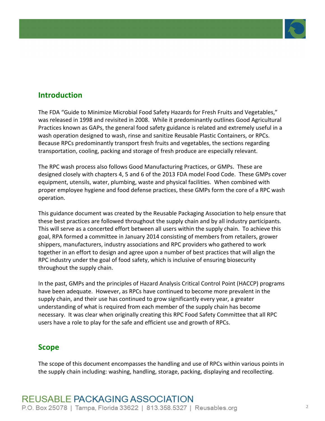

# **Introduction**

The FDA "Guide to Minimize Microbial Food Safety Hazards for Fresh Fruits and Vegetables," was released in 1998 and revisited in 2008. While it predominantly outlines Good Agricultural Practices known as GAPs, the general food safety guidance is related and extremely useful in a wash operation designed to wash, rinse and sanitize Reusable Plastic Containers, or RPCs. Because RPCs predominantly transport fresh fruits and vegetables, the sections regarding transportation, cooling, packing and storage of fresh produce are especially relevant.

The RPC wash process also follows Good Manufacturing Practices, or GMPs. These are designed closely with chapters 4, 5 and 6 of the 2013 FDA model Food Code. These GMPs cover equipment, utensils, water, plumbing, waste and physical facilities. When combined with proper employee hygiene and food defense practices, these GMPs form the core of a RPC wash operation.

This guidance document was created by the Reusable Packaging Association to help ensure that these best practices are followed throughout the supply chain and by all industry participants. This will serve as a concerted effort between all users within the supply chain. To achieve this goal, RPA formed a committee in January 2014 consisting of members from retailers, grower shippers, manufacturers, industry associations and RPC providers who gathered to work together in an effort to design and agree upon a number of best practices that will align the RPC industry under the goal of food safety, which is inclusive of ensuring biosecurity throughout the supply chain.

In the past, GMPs and the principles of Hazard Analysis Critical Control Point (HACCP) programs have been adequate. However, as RPCs have continued to become more prevalent in the supply chain, and their use has continued to grow significantly every year, a greater understanding of what is required from each member of the supply chain has become necessary. It was clear when originally creating this RPC Food Safety Committee that all RPC users have a role to play for the safe and efficient use and growth of RPCs.

# **Scope**

The scope of this document encompasses the handling and use of RPCs within various points in the supply chain including: washing, handling, storage, packing, displaying and recollecting.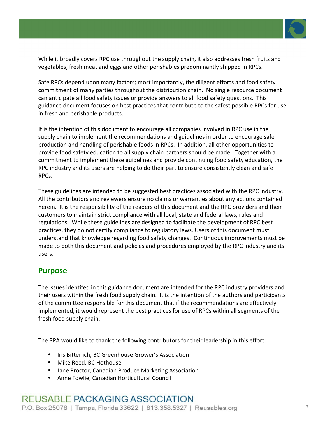

While it broadly covers RPC use throughout the supply chain, it also addresses fresh fruits and vegetables, fresh meat and eggs and other perishables predominantly shipped in RPCs.

Safe RPCs depend upon many factors; most importantly, the diligent efforts and food safety commitment of many parties throughout the distribution chain. No single resource document can anticipate all food safety issues or provide answers to all food safety questions. This guidance document focuses on best practices that contribute to the safest possible RPCs for use in fresh and perishable products.

It is the intention of this document to encourage all companies involved in RPC use in the supply chain to implement the recommendations and guidelines in order to encourage safe production and handling of perishable foods in RPCs. In addition, all other opportunities to provide food safety education to all supply chain partners should be made. Together with a commitment to implement these guidelines and provide continuing food safety education, the RPC industry and its users are helping to do their part to ensure consistently clean and safe RPCs.

These guidelines are intended to be suggested best practices associated with the RPC industry. All the contributors and reviewers ensure no claims or warranties about any actions contained herein. It is the responsibility of the readers of this document and the RPC providers and their customers to maintain strict compliance with all local, state and federal laws, rules and regulations. While these guidelines are designed to facilitate the development of RPC best practices, they do not certify compliance to regulatory laws. Users of this document must understand that knowledge regarding food safety changes. Continuous improvements must be made to both this document and policies and procedures employed by the RPC industry and its users.

# **Purpose**

The issues identifed in this guidance document are intended for the RPC industry providers and their users within the fresh food supply chain. It is the intention of the authors and participants of the committee responsible for this document that if the recommendations are effectively implemented, it would represent the best practices for use of RPCs within all segments of the fresh food supply chain.

The RPA would like to thank the following contributors for their leadership in this effort:

- Iris Bitterlich, BC Greenhouse Grower's Association
- Mike Reed, BC Hothouse
- Jane Proctor, Canadian Produce Marketing Association
- Anne Fowlie, Canadian Horticultural Council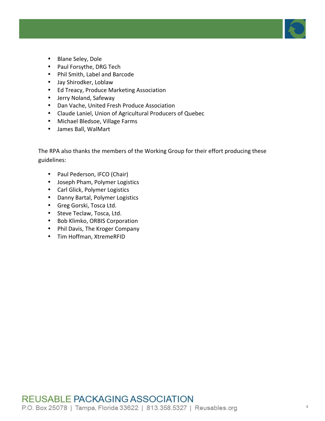

- Blane Seley, Dole
- Paul Forsythe, DRG Tech
- Phil Smith, Label and Barcode
- Jay Shirodker, Loblaw
- Ed Treacy, Produce Marketing Association
- Jerry Noland, Safeway
- Dan Vache, United Fresh Produce Association
- Claude Laniel, Union of Agricultural Producers of Quebec
- Michael Bledsoe, Village Farms
- James Ball, WalMart

The RPA also thanks the members of the Working Group for their effort producing these guidelines:

- Paul Pederson, IFCO (Chair)
- Joseph Pham, Polymer Logistics
- Carl Glick, Polymer Logistics
- Danny Bartal, Polymer Logistics
- Greg Gorski, Tosca Ltd.
- Steve Teclaw, Tosca, Ltd.
- Bob Klimko, ORBIS Corporation
- Phil Davis, The Kroger Company
- Tim Hoffman, XtremeRFID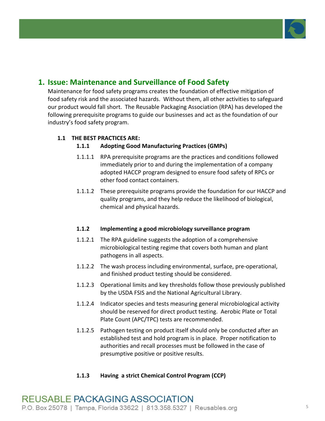

# **1. Issue: Maintenance and Surveillance of Food Safety**

Maintenance for food safety programs creates the foundation of effective mitigation of food safety risk and the associated hazards. Without them, all other activities to safeguard our product would fall short. The Reusable Packaging Association (RPA) has developed the following prerequisite programs to guide our businesses and act as the foundation of our industry's food safety program.

### **1.1 THE!BEST!PRACTICES ARE:**

### **1.1.1** Adopting Good Manufacturing Practices (GMPs)

- 1.1.1.1 RPA prerequisite programs are the practices and conditions followed immediately prior to and during the implementation of a company adopted HACCP program designed to ensure food safety of RPCs or other food contact containers.
- 1.1.1.2 These prerequisite programs provide the foundation for our HACCP and quality programs, and they help reduce the likelihood of biological, chemical and physical hazards.

### **1.1.2 Implementing!a!good microbiology!surveillance!program**

- 1.1.2.1 The RPA guideline suggests the adoption of a comprehensive microbiological testing regime that covers both human and plant pathogens in all aspects.
- 1.1.2.2 The wash process including environmental, surface, pre-operational, and finished product testing should be considered.
- 1.1.2.3 Operational limits and key thresholds follow those previously published by the USDA FSIS and the National Agricultural Library.
- 1.1.2.4 Indicator species and tests measuring general microbiological activity should be reserved for direct product testing. Aerobic Plate or Total Plate Count (APC/TPC) tests are recommended.
- 1.1.2.5 Pathogen testing on product itself should only be conducted after an established test and hold program is in place. Proper notification to authorities and recall processes must be followed in the case of presumptive positive or positive results.

### **1.1.3 Having a strict Chemical Control Program (CCP)**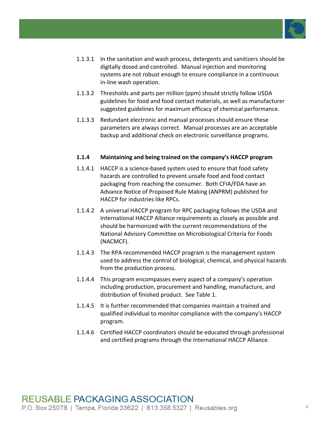

- 1.1.3.1 In the sanitation and wash process, detergents and sanitizers should be digitally dosed and controlled. Manual injection and monitoring systems are not robust enough to ensure compliance in a continuous in-line wash operation.
- 1.1.3.2 Thresholds and parts per million (ppm) should strictly follow USDA guidelines for food and food contact materials, as well as manufacturer suggested guidelines for maximum efficacy of chemical performance.
- 1.1.3.3 Redundant electronic and manual processes should ensure these parameters are always correct. Manual processes are an acceptable backup and additional check on electronic surveillance programs.

### **1.1.4** Maintaining and being trained on the company's HACCP program

- 1.1.4.1 HACCP is a science-based system used to ensure that food safety hazards are controlled to prevent unsafe food and food contact packaging from reaching the consumer. Both CFIA/FDA have an Advance Notice of Proposed Rule Making (ANPRM) published for HACCP for industries like RPCs.
- 1.1.4.2 A universal HACCP program for RPC packaging follows the USDA and International HACCP Alliance requirements as closely as possible and should be harmonized with the current recommendations of the National Advisory Committee on Microbiological Criteria for Foods (NACMCF).
- 1.1.4.3 The RPA recommended HACCP program is the management system used to address the control of biological, chemical, and physical hazards from the production process.
- 1.1.4.4 This program encompasses every aspect of a company's operation including production, procurement and handling, manufacture, and distribution of finished product. See Table 1.
- 1.1.4.5 It is further recommended that companies maintain a trained and qualified individual to monitor compliance with the company's HACCP program.
- 1.1.4.6 Certified HACCP coordinators should be educated through professional and certified programs through the International HACCP Alliance.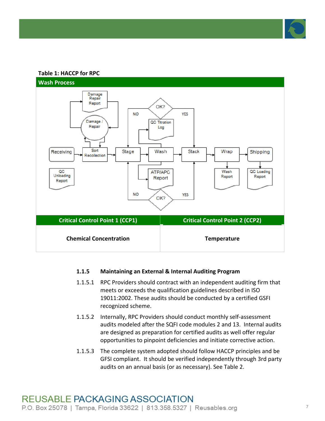

#### **Table 1: HACCP for RPC**



#### **1.1.5 Maintaining an External & Internal Auditing Program**

- 1.1.5.1 RPC Providers should contract with an independent auditing firm that meets or exceeds the qualification guidelines described in ISO 19011:2002. These audits should be conducted by a certified GSFI recognized scheme.
- 1.1.5.2 Internally, RPC Providers should conduct monthly self-assessment audits modeled after the SQFI code modules 2 and 13. Internal audits are designed as preparation for certified audits as well offer regular opportunities to pinpoint deficiencies and initiate corrective action.
- 1.1.5.3 The complete system adopted should follow HACCP principles and be GFSI compliant. It should be verified independently through 3rd party audits on an annual basis (or as necessary). See Table 2.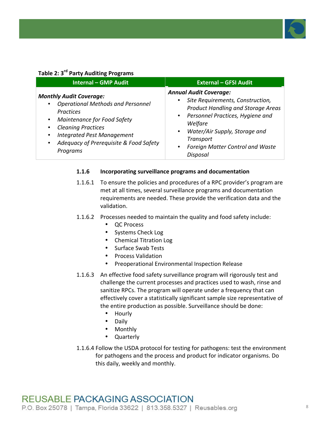

#### **Table 2: 3<sup>rd</sup> Party Auditing Programs**

| <b>Internal - GMP Audit</b>                                                                                                                                                                                                                                                                         | <b>External - GFSI Audit</b>                                                                                                                                                                                                                                                                              |
|-----------------------------------------------------------------------------------------------------------------------------------------------------------------------------------------------------------------------------------------------------------------------------------------------------|-----------------------------------------------------------------------------------------------------------------------------------------------------------------------------------------------------------------------------------------------------------------------------------------------------------|
| <b>Monthly Audit Coverage:</b><br><b>Operational Methods and Personnel</b><br><b>Practices</b><br><b>Maintenance for Food Safety</b><br>$\bullet$<br><b>Cleaning Practices</b><br><b>Integrated Pest Management</b><br>$\bullet$<br>Adequacy of Prerequisite & Food Safety<br>$\bullet$<br>Programs | <b>Annual Audit Coverage:</b><br>Site Requirements, Construction,<br><b>Product Handling and Storage Areas</b><br>Personnel Practices, Hygiene and<br>$\bullet$<br>Welfare<br>Water/Air Supply, Storage and<br>$\bullet$<br><b>Transport</b><br>Foreign Matter Control and Waste<br>$\bullet$<br>Disposal |

#### **1.1.6 Incorporating surveillance!programs!and!documentation**

- 1.1.6.1 To ensure the policies and procedures of a RPC provider's program are met at all times, several surveillance programs and documentation requirements are needed. These provide the verification data and the validation.
- 1.1.6.2 Processes needed to maintain the quality and food safety include:
	- QC!Process
	- Systems Check Log
	- Chemical Titration Log
	- Surface Swab Tests
	- Process Validation
	- Preoperational Environmental Inspection Release
- 1.1.6.3 An effective food safety surveillance program will rigorously test and challenge the current processes and practices used to wash, rinse and sanitize RPCs. The program will operate under a frequency that can effectively cover a statistically significant sample size representative of the entire production as possible. Surveillance should be done:
	- Hourly
	- Daily
	- Monthly
	- Quarterly
- 1.1.6.4 Follow the USDA protocol for testing for pathogens: test the environment for pathogens and the process and product for indicator organisms. Do this daily, weekly and monthly.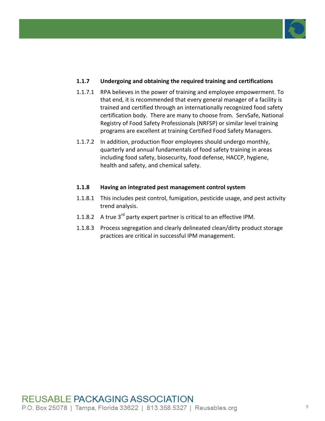

### **1.1.7** Undergoing and obtaining the required training and certifications

- 1.1.7.1 RPA believes in the power of training and employee empowerment. To that end, it is recommended that every general manager of a facility is trained and certified through an internationally recognized food safety certification body. There are many to choose from. ServSafe, National Registry of Food Safety Professionals (NRFSP) or similar level training programs are excellent at training Certified Food Safety Managers.
- 1.1.7.2 In addition, production floor employees should undergo monthly, quarterly and annual fundamentals of food safety training in areas including food safety, biosecurity, food defense, HACCP, hygiene, health and safety, and chemical safety.

### **1.1.8 Having an integrated pest management control system**

- 1.1.8.1 This includes pest control, fumigation, pesticide usage, and pest activity trend analysis.
- 1.1.8.2 A true  $3^{rd}$  party expert partner is critical to an effective IPM.
- 1.1.8.3 Process segregation and clearly delineated clean/dirty product storage practices are critical in successful IPM management.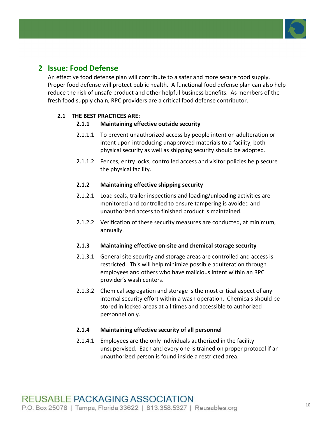

# **2 Issue: Food Defense**

An effective food defense plan will contribute to a safer and more secure food supply. Proper food defense will protect public health. A functional food defense plan can also help reduce the risk of unsafe product and other helpful business benefits. As members of the fresh food supply chain, RPC providers are a critical food defense contributor.

### **2.1 THE BEST PRACTICES ARE:**

### **2.1.1** Maintaining effective outside security

- 2.1.1.1 To prevent unauthorized access by people intent on adulteration or intent upon introducing unapproved materials to a facility, both physical security as well as shipping security should be adopted.
- 2.1.1.2 Fences, entry locks, controlled access and visitor policies help secure the physical facility.

### **2.1.2 Maintaining!effective!shipping!security**

- 2.1.2.1 Load seals, trailer inspections and loading/unloading activities are monitored and controlled to ensure tampering is avoided and unauthorized access to finished product is maintained.
- 2.1.2.2 Verification of these security measures are conducted, at minimum, annually.

### **2.1.3** Maintaining effective on-site and chemical storage security

- 2.1.3.1 General site security and storage areas are controlled and access is restricted. This will help minimize possible adulteration through employees and others who have malicious intent within an RPC provider's wash centers.
- 2.1.3.2 Chemical segregation and storage is the most critical aspect of any internal security effort within a wash operation. Chemicals should be stored in locked areas at all times and accessible to authorized personnel only.

### **2.1.4** Maintaining effective security of all personnel

2.1.4.1 Employees are the only individuals authorized in the facility unsupervised. Each and every one is trained on proper protocol if an unauthorized person is found inside a restricted area.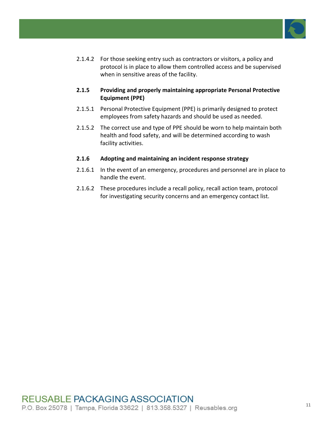

- 2.1.4.2 For those seeking entry such as contractors or visitors, a policy and protocol is in place to allow them controlled access and be supervised when in sensitive areas of the facility.
- **2.1.5** Providing and properly maintaining appropriate Personal Protective **Equipment (PPE)**
- 2.1.5.1 Personal Protective Equipment (PPE) is primarily designed to protect employees from safety hazards and should be used as needed.
- 2.1.5.2 The correct use and type of PPE should be worn to help maintain both health and food safety, and will be determined according to wash facility activities.

### **2.1.6** Adopting and maintaining an incident response strategy

- 2.1.6.1 In the event of an emergency, procedures and personnel are in place to handle the event.
- 2.1.6.2 These procedures include a recall policy, recall action team, protocol for investigating security concerns and an emergency contact list.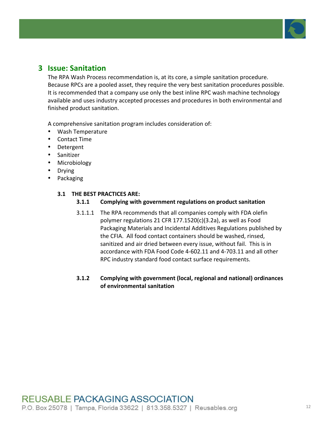

# **3 Issue: Sanitation**

The RPA Wash Process recommendation is, at its core, a simple sanitation procedure. Because RPCs are a pooled asset, they require the very best sanitation procedures possible. It is recommended that a company use only the best inline RPC wash machine technology available and uses industry accepted processes and procedures in both environmental and finished product sanitation.

A comprehensive sanitation program includes consideration of:

- Wash!Temperature
- Contact Time
- Detergent
- Sanitizer
- Microbiology
- Drying
- Packaging

### **3.1 THE BEST PRACTICES ARE:**

- **3.1.1** Complying with government regulations on product sanitation
- 3.1.1.1 The RPA recommends that all companies comply with FDA olefin polymer regulations 21 CFR  $177.1520(c)(3.2a)$ , as well as Food Packaging Materials and Incidental Additives Regulations published by the CFIA. All food contact containers should be washed, rinsed, sanitized and air dried between every issue, without fail. This is in accordance with FDA Food Code 4-602.11 and 4-703.11 and all other RPC industry standard food contact surface requirements.

### **3.1.2** Complying with government (local, regional and national) ordinances **of!environmental!sanitation**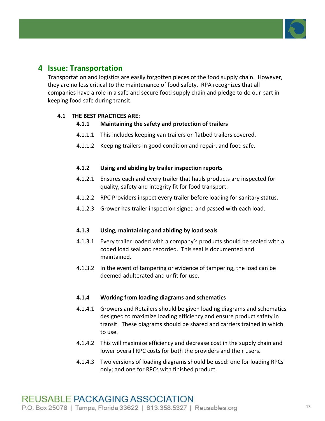

# **4 Issue: Transportation**

Transportation and logistics are easily forgotten pieces of the food supply chain. However, they are no less critical to the maintenance of food safety. RPA recognizes that all companies have a role in a safe and secure food supply chain and pledge to do our part in keeping food safe during transit.

### **4.1 THE BEST PRACTICES ARE:**

### **4.1.1** Maintaining the safety and protection of trailers

- 4.1.1.1 This includes keeping van trailers or flatbed trailers covered.
- 4.1.1.2 Keeping trailers in good condition and repair, and food safe.

### **4.1.2** Using and abiding by trailer inspection reports

- 4.1.2.1 Ensures each and every trailer that hauls products are inspected for quality, safety and integrity fit for food transport.
- 4.1.2.2 RPC Providers inspect every trailer before loading for sanitary status.
- 4.1.2.3 Grower has trailer inspection signed and passed with each load.

### **4.1.3 Using, maintaining and abiding by load seals**

- 4.1.3.1 Every trailer loaded with a company's products should be sealed with a coded load seal and recorded. This seal is documented and maintained.!!!
- 4.1.3.2 In the event of tampering or evidence of tampering, the load can be deemed adulterated and unfit for use.

### **4.1.4 Working from loading diagrams and schematics**

- 4.1.4.1 Growers and Retailers should be given loading diagrams and schematics designed to maximize loading efficiency and ensure product safety in transit. These diagrams should be shared and carriers trained in which to use.
- 4.1.4.2 This will maximize efficiency and decrease cost in the supply chain and lower overall RPC costs for both the providers and their users.
- 4.1.4.3 Two versions of loading diagrams should be used: one for loading RPCs only; and one for RPCs with finished product.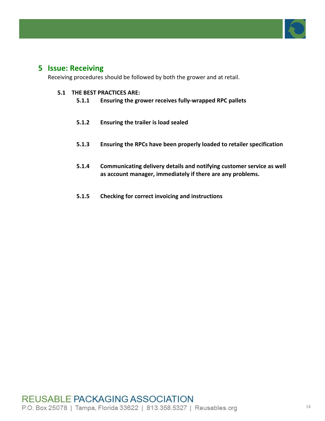

# **5 Issue: Receiving**

Receiving procedures should be followed by both the grower and at retail.

- **5.1.1** Ensuring the grower receives fully-wrapped RPC pallets
- **5.1.2 Ensuring the trailer is load sealed**
- **5.1.3** Ensuring the RPCs have been properly loaded to retailer specification
- **5.1.4** Communicating delivery details and notifying customer service as well as account manager, immediately if there are any problems.
- **5.1.5** Checking for correct invoicing and instructions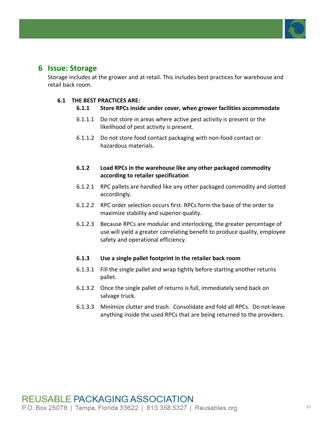

# **6 Issue: Storage**

Storage includes at the grower and at retail. This includes best practices for warehouse and retail back room.

### **6.1 THE BEST PRACTICES ARE:**

- **6.1.1** Store RPCs inside under cover, when grower facilities accommodate
- $6.1.1.1$  Do not store in areas where active pest activity is present or the likelihood of pest activity is present.
- 6.1.1.2 Do not store food contact packaging with non-food contact or hazardous materials.
- **6.1.2** Load RPCs in the warehouse like any other packaged commodity **according!to!retailer!specification**
- 6.1.2.1 RPC pallets are handled like any other packaged commodity and slotted accordingly.
- 6.1.2.2 RPC order selection occurs first. RPCs form the base of the order to maximize stability and superior quality.
- 6.1.2.3 Because RPCs are modular and interlocking, the greater percentage of use will yield a greater correlating benefit to produce quality, employee safety and operational efficiency.

### **6.1.3** Use a single pallet footprint in the retailer back room

- $6.1.3.1$  Fill the single pallet and wrap tightly before starting another returns pallet.
- 6.1.3.2 Once the single pallet of returns is full, immediately send back on salvage truck.
- 6.1.3.3 Minimize clutter and trash. Consolidate and fold all RPCs. Do not leave anything inside the used RPCs that are being returned to the providers.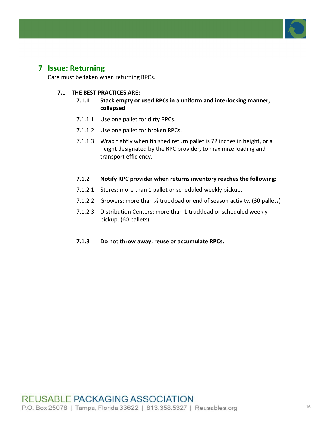

# **7 Issue: Returning**

Care must be taken when returning RPCs.

- **7.1.1** Stack empty or used RPCs in a uniform and interlocking manner, **collapsed**
- 7.1.1.1 Use one pallet for dirty RPCs.
- 7.1.1.2 Use one pallet for broken RPCs.
- 7.1.1.3 Wrap tightly when finished return pallet is 72 inches in height, or a height designated by the RPC provider, to maximize loading and transport efficiency.
- **7.1.2** Notify RPC provider when returns inventory reaches the following:
- 7.1.2.1 Stores: more than 1 pallet or scheduled weekly pickup.
- 7.1.2.2 Growers: more than  $\frac{1}{2}$  truckload or end of season activity. (30 pallets)
- 7.1.2.3 Distribution Centers: more than 1 truckload or scheduled weekly pickup. (60 pallets)
- **7.1.3** Do not throw away, reuse or accumulate RPCs.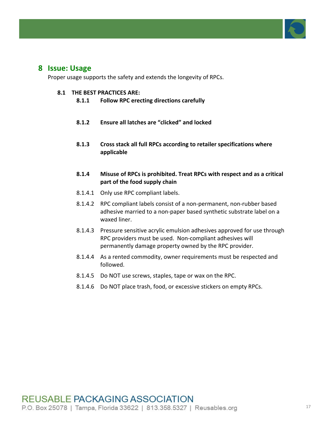

## **8 Issue: Usage**

Proper usage supports the safety and extends the longevity of RPCs.

- 8.1.1 **Follow RPC erecting directions carefully**
- **8.1.2 Ensure all latches are "clicked" and locked**
- **8.1.3** Cross stack all full RPCs according to retailer specifications where **applicable**
- 8.1.4 Misuse of RPCs is prohibited. Treat RPCs with respect and as a critical part of the food supply chain
- 8.1.4.1 Only use RPC compliant labels.
- 8.1.4.2 RPC compliant labels consist of a non-permanent, non-rubber based adhesive married to a non-paper based synthetic substrate label on a waxed liner.
- 8.1.4.3 Pressure sensitive acrylic emulsion adhesives approved for use through RPC providers must be used. Non-compliant adhesives will permanently damage property owned by the RPC provider.
- 8.1.4.4 As a rented commodity, owner requirements must be respected and followed.
- 8.1.4.5 Do NOT use screws, staples, tape or wax on the RPC.
- 8.1.4.6 Do NOT place trash, food, or excessive stickers on empty RPCs.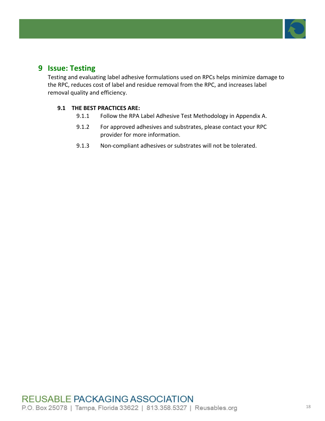

# **9 Issue: Testing**

Testing and evaluating label adhesive formulations used on RPCs helps minimize damage to the RPC, reduces cost of label and residue removal from the RPC, and increases label removal quality and efficiency.

- 9.1.1 Follow the RPA Label Adhesive Test Methodology in Appendix A.
- 9.1.2 For approved adhesives and substrates, please contact your RPC provider for more information.
- 9.1.3 Non-compliant adhesives or substrates will not be tolerated.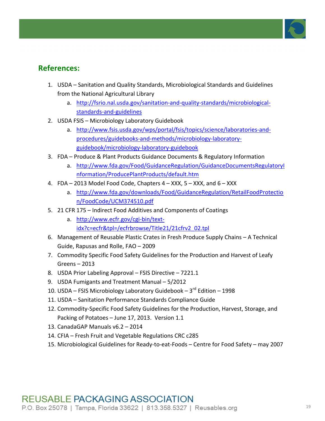

# **References:**

- 1. USDA Sanitation and Quality Standards, Microbiological Standards and Guidelines from the National Agricultural Library
	- a. http://fsrio.nal.usda.gov/sanitation-and-quality-standards/microbiologicalstandards-and-guidelines
- 2. USDA FSIS Microbiology Laboratory Guidebook
	- a. http://www.fsis.usda.gov/wps/portal/fsis/topics/science/laboratories-andprocedures/guidebooks-and-methods/microbiology-laboratoryguidebook/microbiology-laboratory-guidebook
- 3. FDA Produce & Plant Products Guidance Documents & Regulatory Information
	- a. http://www.fda.gov/Food/GuidanceRegulation/GuidanceDocumentsRegulatoryI nformation/ProducePlantProducts/default.htm
- 4. FDA 2013 Model Food Code, Chapters  $4 XXX$ , 5 XXX, and  $6 XXX$ 
	- a. http://www.fda.gov/downloads/Food/GuidanceRegulation/RetailFoodProtectio n/FoodCode/UCM374510.pdf
- 5. 21 CFR 175 Indirect Food Additives and Components of Coatings
	- a. http://www.ecfr.gov/cgi-bin/textidx?c=ecfr&tpl=/ecfrbrowse/Title21/21cfrv2\_02.tpl
- 6. Management of Reusable Plastic Crates in Fresh Produce Supply Chains A Technical Guide, Rapusas and Rolle, FAO – 2009
- 7. Commodity Specific Food Safety Guidelines for the Production and Harvest of Leafy  $G$ reens – 2013
- 8. USDA Prior Labeling Approval FSIS Directive 7221.1
- 9. USDA Fumigants and Treatment Manual 5/2012
- 10. USDA FSIS Microbiology Laboratory Guidebook  $3^{rd}$  Edition 1998
- 11. USDA Sanitation Performance Standards Compliance Guide
- 12. Commodity-Specific Food Safety Guidelines for the Production, Harvest, Storage, and Packing of Potatoes – June 17, 2013. Version 1.1
- 13. CanadaGAP Manuals  $v6.2 2014$
- 14. CFIA Fresh Fruit and Vegetable Regulations CRC c285
- 15. Microbiological Guidelines for Ready-to-eat-Foods Centre for Food Safety may 2007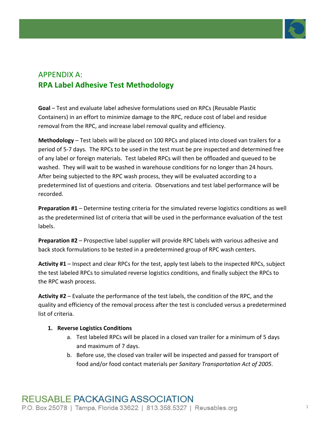

# **APPENDIX A: RPA Label Adhesive Test Methodology**

**Goal** – Test and evaluate label adhesive formulations used on RPCs (Reusable Plastic Containers) in an effort to minimize damage to the RPC, reduce cost of label and residue removal from the RPC, and increase label removal quality and efficiency.

**Methodology** – Test labels will be placed on 100 RPCs and placed into closed van trailers for a period of 5-7 days. The RPCs to be used in the test must be pre inspected and determined free of any label or foreign materials. Test labeled RPCs will then be offloaded and queued to be washed. They will wait to be washed in warehouse conditions for no longer than 24 hours. After being subjected to the RPC wash process, they will be evaluated according to a predetermined list of questions and criteria. Observations and test label performance will be recorded.

**Preparation #1** – Determine testing criteria for the simulated reverse logistics conditions as well as the predetermined list of criteria that will be used in the performance evaluation of the test labels.

**Preparation #2** – Prospective label supplier will provide RPC labels with various adhesive and back stock formulations to be tested in a predetermined group of RPC wash centers.

**Activity #1** – Inspect and clear RPCs for the test, apply test labels to the inspected RPCs, subject the test labeled RPCs to simulated reverse logistics conditions, and finally subject the RPCs to the RPC wash process.

**Activity #2** – Evaluate the performance of the test labels, the condition of the RPC, and the quality and efficiency of the removal process after the test is concluded versus a predetermined list of criteria.

### **1. Reverse Logistics Conditions**

- a. Test labeled RPCs will be placed in a closed van trailer for a minimum of 5 days and maximum of 7 days.
- b. Before use, the closed van trailer will be inspected and passed for transport of food and/or food contact materials per *Sanitary Transportation Act of 2005*.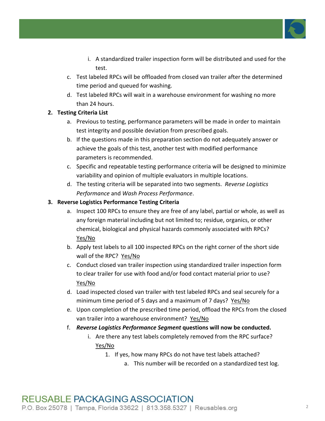

- i. A standardized trailer inspection form will be distributed and used for the test.
- c. Test labeled RPCs will be offloaded from closed van trailer after the determined time period and queued for washing.
- d. Test labeled RPCs will wait in a warehouse environment for washing no more than 24 hours.

### **2. Testing Criteria List**

- a. Previous to testing, performance parameters will be made in order to maintain test integrity and possible deviation from prescribed goals.
- b. If the questions made in this preparation section do not adequately answer or achieve the goals of this test, another test with modified performance parameters is recommended.
- c. Specific and repeatable testing performance criteria will be designed to minimize variability and opinion of multiple evaluators in multiple locations.
- d. The testing criteria will be separated into two segments. *Reverse Logistics Performance* and *Wash Process Performance*.

### **3. Reverse Logistics Performance Testing Criteria**

- a. Inspect 100 RPCs to ensure they are free of any label, partial or whole, as well as any foreign material including but not limited to; residue, organics, or other chemical, biological and physical hazards commonly associated with RPCs? Yes/No
- b. Apply test labels to all 100 inspected RPCs on the right corner of the short side wall of the RPC? Yes/No
- c. Conduct closed van trailer inspection using standardized trailer inspection form to clear trailer for use with food and/or food contact material prior to use? Yes/No
- d. Load inspected closed van trailer with test labeled RPCs and seal securely for a minimum time period of 5 days and a maximum of 7 days? Yes/No
- e. Upon completion of the prescribed time period, offload the RPCs from the closed van trailer into a warehouse environment? Yes/No
- f. **Reverse Logistics Performance Segment questions will now be conducted.** 
	- i. Are there any test labels completely removed from the RPC surface? Yes/No
		- 1. If yes, how many RPCs do not have test labels attached?
			- a. This number will be recorded on a standardized test log.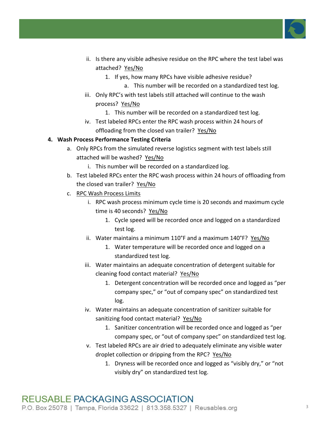

- ii. Is there any visible adhesive residue on the RPC where the test label was attached? Yes/No
	- 1. If yes, how many RPCs have visible adhesive residue?
		- a. This number will be recorded on a standardized test log.
- iii. Only RPC's with test labels still attached will continue to the wash process? Yes/No
	- 1. This number will be recorded on a standardized test log.
- iv. Test labeled RPCs enter the RPC wash process within 24 hours of offloading from the closed van trailer? Yes/No

### **4. Wash Process Performance Testing Criteria**

- a. Only RPCs from the simulated reverse logistics segment with test labels still attached will be washed? Yes/No
	- i. This number will be recorded on a standardized log.
- b. Test labeled RPCs enter the RPC wash process within 24 hours of offloading from the closed van trailer? Yes/No
- c. RPC Wash Process Limits
	- i. RPC wash process minimum cycle time is 20 seconds and maximum cycle time is 40 seconds? Yes/No
		- 1. Cycle speed will be recorded once and logged on a standardized test log.
	- ii. Water maintains a minimum  $110^{\circ}$ F and a maximum  $140^{\circ}$ F? Yes/No
		- 1. Water temperature will be recorded once and logged on a standardized test log.
	- iii. Water maintains an adequate concentration of detergent suitable for cleaning food contact material? Yes/No
		- 1. Detergent concentration will be recorded once and logged as "per company spec," or "out of company spec" on standardized test log.
	- iv. Water maintains an adequate concentration of sanitizer suitable for sanitizing food contact material? Yes/No
		- 1. Sanitizer concentration will be recorded once and logged as "per company spec, or "out of company spec" on standardized test log.
	- v. Test labeled RPCs are air dried to adequately eliminate any visible water droplet collection or dripping from the RPC? Yes/No
		- 1. Dryness will be recorded once and logged as "visibly dry," or "not visibly dry" on standardized test log.